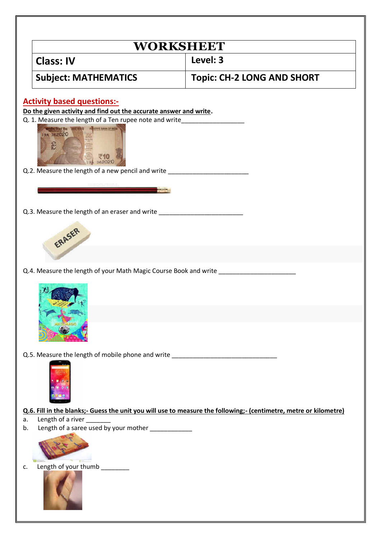